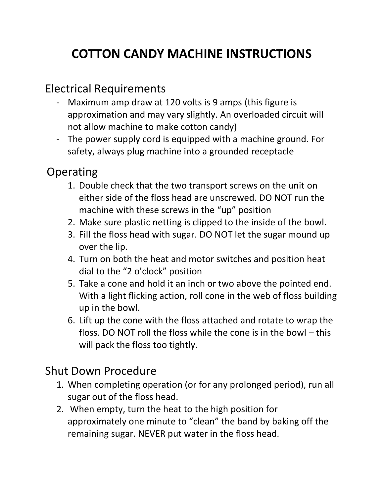## **COTTON CANDY MACHINE INSTRUCTIONS**

## Electrical Requirements

- Maximum amp draw at 120 volts is 9 amps (this figure is approximation and may vary slightly. An overloaded circuit will not allow machine to make cotton candy)
- The power supply cord is equipped with a machine ground. For safety, always plug machine into a grounded receptacle

## **Operating**

- 1. Double check that the two transport screws on the unit on either side of the floss head are unscrewed. DO NOT run the machine with these screws in the "up" position
- 2. Make sure plastic netting is clipped to the inside of the bowl.
- 3. Fill the floss head with sugar. DO NOT let the sugar mound up over the lip.
- 4. Turn on both the heat and motor switches and position heat dial to the "2 o'clock" position
- 5. Take a cone and hold it an inch or two above the pointed end. With a light flicking action, roll cone in the web of floss building up in the bowl.
- 6. Lift up the cone with the floss attached and rotate to wrap the floss. DO NOT roll the floss while the cone is in the bowl – this will pack the floss too tightly.

## Shut Down Procedure

- 1. When completing operation (or for any prolonged period), run all sugar out of the floss head.
- 2. When empty, turn the heat to the high position for approximately one minute to "clean" the band by baking off the remaining sugar. NEVER put water in the floss head.